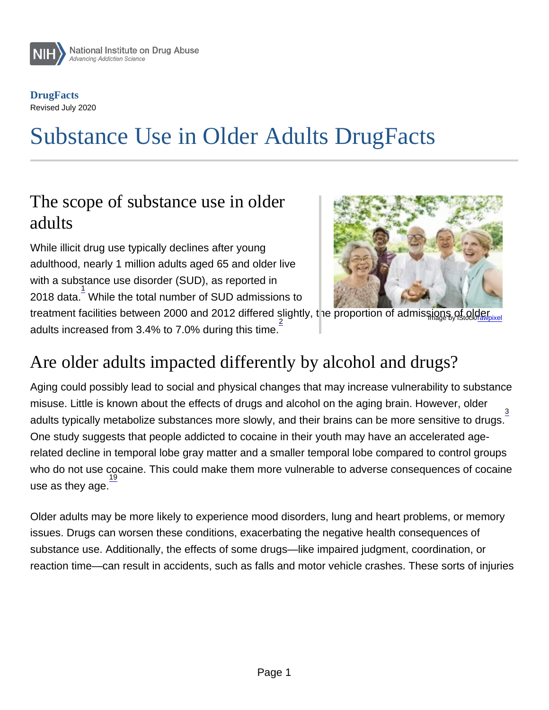# Substance Use in Older Adults DrugFacts

#### The scope of substance use in older adults

While illicit drug use typically declines after young adulthood, nearly 1 million adults aged 65 and older live with a substance use disorder (SUD), as reported in 2018 data. $\frac{1}{2}$  While the total number of SUD admissions to treatment facilities between 2000 and 2012 differed slightly, the proportion of admissions of older adults increased from 3.4% to 7.0% during this time.

# Are older adults impacted differently by alcohol and drugs?

Aging could possibly lead to social and physical changes that may increase vulnerability to substance misuse. Little is known about the effects of drugs and alcohol on the aging brain. However, older adults typically metabolize substances more slowly, and their brains can be more sensitive to drugs.  $\frac{3}{2}$ One study suggests that people addicted to cocaine in their youth may have an accelerated agerelated decline in temporal lobe gray matter and a smaller temporal lobe compared to control groups who do not use cocaine. This could make them more vulnerable to adverse consequences of cocaine use as they age.

Older adults may be more likely to experience mood disorders, lung and heart problems, or memory issues. Drugs can worsen these conditions, exacerbating the negative health consequences of substance use. Additionally, the effects of some drugs—like impaired judgment, coordination, or reaction time—can result in accidents, such as falls and motor vehicle crashes. These sorts of injuries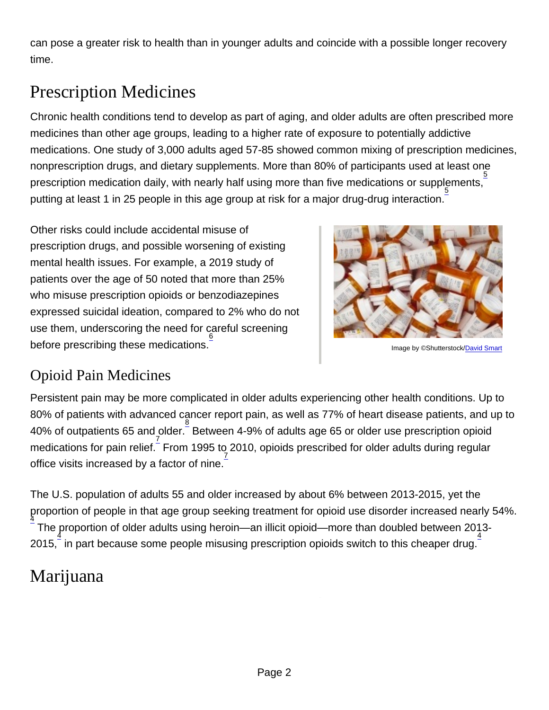can pose a greater risk to health than in younger adults and coincide with a possible longer recovery time.

# Prescription Medicines

Chronic health conditions tend to develop as part of aging, and older adults are often prescribed more medicines than other age groups, leading to a higher rate of exposure to potentially addictive medications. One study of 3,000 adults aged 57-85 showed common mixing of prescription medicines, nonprescription drugs, and dietary supplements. More than 80% of participants used at least one prescription medication daily, with nearly half using more than five medications or supplements,  $\frac{5}{2}$ .<br>5. putting at least 1 in 25 people in this age group at risk for a major drug-drug interaction.

Other risks could include accidental misuse of prescription drugs, and possible worsening of existing mental health issues. For example, a 2019 study of patients over the age of 50 noted that more than 25% who misuse prescription opioids or benzodiazepines expressed suicidal ideation, compared to 2% who do not use them, underscoring the need for careful screening before prescribing these medications. 6

Image by ©Shutterstock/[David Smart](https://www.shutterstock.com/g/David+Smart)

#### Opioid Pain Medicines

Persistent pain may be more complicated in older adults experiencing other health conditions. Up to 80% of patients with advanced cancer report pain, as well as 77% of heart disease patients, and up to 40% of outpatients 65 and older. Between 4-9% of adults age 65 or older use prescription opioid medications for pain relief. From 1995 to 2010, opioids prescribed for older adults during regular office visits increased by a factor of nine.

The U.S. population of adults 55 and older increased by about 6% between 2013-2015, yet the proportion of people in that age group seeking treatment for opioid use disorder increased nearly 54%. 4 The proportion of older adults using heroin—an illicit opioid—more than doubled between 2013-2015, in part because some people misusing prescription opioids switch to this cheaper drug.

# Marijuana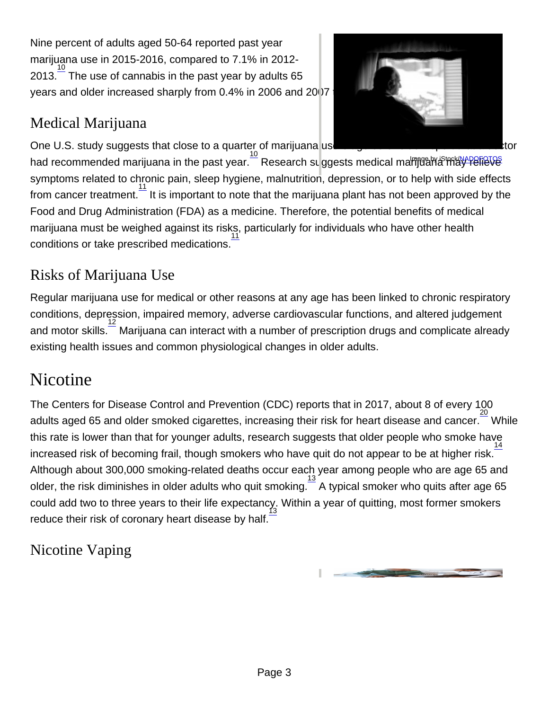Nine percent of adults aged 50-64 reported past year marijuana use in 2015-2016, compared to 7.1% in 2012-  $2013.$ <sup>10</sup> The use of cannabis in the past year by adults 65 years and older increased sharply from 0.4% in 2006 and 2007 to 2.9% in 2015 and 2016.<sup>22</sup>

#### Medical Marijuana

One U.S. study suggests that close to a quarter of marijuana users age 65 or older report that a doctor had recommended marijuana in the past year. هذا المعلم العام المعلم بن المعلم بن المعلم بن المعلم .<br>had recommended marijuana in the past year. Research suggests medical marrijuana in the past year. The Research symptoms related to chronic pain, sleep hygiene, malnutrition, depression, or to help with side effects from cancer treatment.  $\frac{11}{1}$  It is important to note that the marijuana plant has not been approved by the Food and Drug Administration (FDA) as a medicine. Therefore, the potential benefits of medical marijuana must be weighed against its risks, particularly for individuals who have other health conditions or take prescribed medications. 11

#### Risks of Marijuana Use

Regular marijuana use for medical or other reasons at any age has been linked to chronic respiratory conditions, depression, impaired memory, adverse cardiovascular functions, and altered judgement and motor skills.<sup>12</sup> Marijuana can interact with a number of prescription drugs and complicate already existing health issues and common physiological changes in older adults.

## **Nicotine**

The Centers for Disease Control and Prevention (CDC) reports that in 2017, about 8 of every 100 adults aged 65 and older smoked cigarettes, increasing their risk for heart disease and cancer. 20<br>adults aged 65 and older smoked cigarettes, increasing their risk for heart disease and cancer. this rate is lower than that for younger adults, research suggests that older people who smoke have 14 increased risk of becoming frail, though smokers who have quit do not appear to be at higher risk. Although about 300,000 smoking-related deaths occur each year among people who are age 65 and older, the risk diminishes in older adults who quit smoking.  $\frac{13}{2}$  A typical smoker who quits after age 65 could add two to three years to their life expectancy. Within a year of quitting, most former smokers reduce their risk of coronary heart disease by half. 13

Nicotine Vaping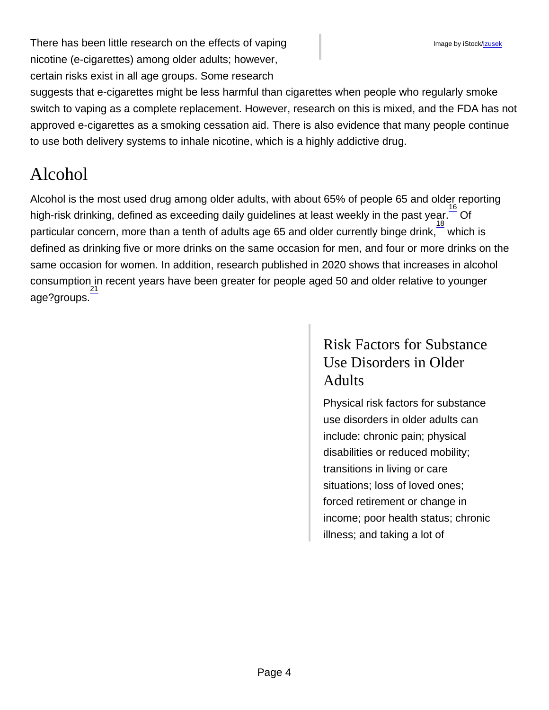There has been little research on the effects of vaping nicotine (e-cigarettes) among older adults; however, certain risks exist in all age groups. Some research

suggests that e-cigarettes might be less harmful than cigarettes when people who regularly smoke switch to vaping as a complete replacement. However, research on this is mixed, and the FDA has not approved e-cigarettes as a smoking cessation aid. There is also evidence that many people continue to use both delivery systems to inhale nicotine, which is a highly addictive drug.

## Alcohol

Alcohol is the most used drug among older adults, with about 65% of people 65 and older reporting high-risk drinking, defined as exceeding daily guidelines at least weekly in the past year.  $\overline{\phantom{a}^{16}}$  Of  $\frac{3}{2}$  particular concern, more than a tenth of adults age 65 and older currently binge drink, which is defined as drinking five or more drinks on the same occasion for men, and four or more drinks on the same occasion for women. In addition, research published in 2020 shows that increases in alcohol consumption in recent years have been greater for people aged 50 and older relative to younger <u>21</u><br>age?groups.

#### Risk Factors for Substance Use Disorders in Older **Adults**

Physical risk factors for substance use disorders in older adults can include: chronic pain; physical disabilities or reduced mobility; transitions in living or care situations; loss of loved ones; forced retirement or change in income; poor health status; chronic illness; and taking a lot of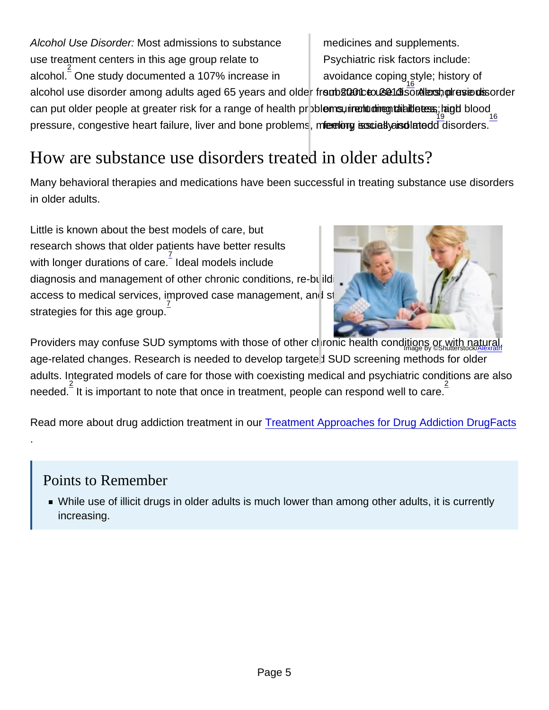Alcohol Use Disorder: Most admissions to substance use treatment centers in this age group relate to alcohol. 2 One study documented a 107% increase in alcohol use disorder among adults aged 65 years and older fremb 2020 to 28013 sor Next por exendisorder avoidance coping style; history of can put older people at greater risk for a range of health pr**bblems, inchu ding ta alle tess**; and blood pressure, congestive heart failure, liver and bone problems, memory issues yeisdlatedd disorders. 16 medicines and supplements. Psychiatric risk factors include:

# How are substance use disorders treated in older adults?

Many behavioral therapies and medications have been successful in treating substance use disorders in older adults.

Little is known about the best models of care, but research shows that older patients have better results with longer durations of care.  $\frac{7}{1}$  Ideal models include

diagnosis and management of other chronic conditions, re-building support networks, improving access to medical services, improved case management, and staff training in evidence-based z<br>.strategies for this age group

Providers may confuse SUD symptoms with those of other chronic health conditions or with natural, age-related changes. Research is needed to develop targeted SUD screening methods for older adults. Integrated models of care for those with coexisting medical and psychiatric conditions are also needed.  $\frac{2}{3}$  it is important to note that once in treatment, people can respond well to care.

Read more about drug addiction treatment in our Treatment Approaches for Drug Addiction DrugFacts

#### Points to Remember

.

While use of illicit drugs in older adults is much lower than among other adults, it is currently increasing.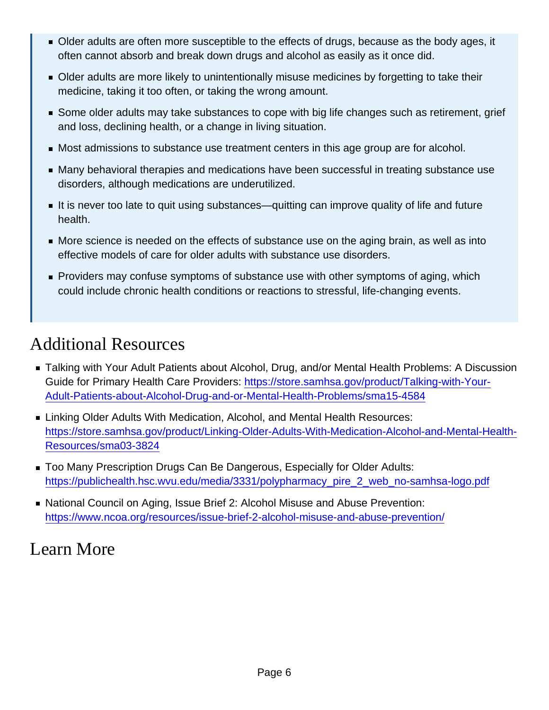- Older adults are often more susceptible to the effects of drugs, because as the body ages, it often cannot absorb and break down drugs and alcohol as easily as it once did.
- Older adults are more likely to unintentionally misuse medicines by forgetting to take their medicine, taking it too often, or taking the wrong amount.
- **Some older adults may take substances to cope with big life changes such as retirement, grief** and loss, declining health, or a change in living situation.
- Most admissions to substance use treatment centers in this age group are for alcohol.
- Many behavioral therapies and medications have been successful in treating substance use disorders, although medications are underutilized.
- It is never too late to quit using substances—quitting can improve quality of life and future health.
- More science is needed on the effects of substance use on the aging brain, as well as into effective models of care for older adults with substance use disorders.
- **Providers may confuse symptoms of substance use with other symptoms of aging, which** could include chronic health conditions or reactions to stressful, life-changing events.

#### Additional Resources

- Talking with Your Adult Patients about Alcohol, Drug, and/or Mental Health Problems: A Discussion Guide for Primary Health Care Providers: [https://store.samhsa.gov/product/Talking-with-Your-](https://store.samhsa.gov/product/Talking-with-Your-Adult-Patients-about-Alcohol-Drug-and-or-Mental-Health-Problems/sma15-4584)[Adult-Patients-about-Alcohol-Drug-and-or-Mental-Health-Problems/sma15-4584](https://store.samhsa.gov/product/Talking-with-Your-Adult-Patients-about-Alcohol-Drug-and-or-Mental-Health-Problems/sma15-4584)
- **Example 2 Linking Older Adults With Medication, Alcohol, and Mental Health Resources:** [https://store.samhsa.gov/product/Linking-Older-Adults-With-Medication-Alcohol-and-Mental-Health-](https://store.samhsa.gov/product/Linking-Older-Adults-With-Medication-Alcohol-and-Mental-Health-Resources/sma03-3824)[Resources/sma03-3824](https://store.samhsa.gov/product/Linking-Older-Adults-With-Medication-Alcohol-and-Mental-Health-Resources/sma03-3824)
- Too Many Prescription Drugs Can Be Dangerous, Especially for Older Adults: [https://publichealth.hsc.wvu.edu/media/3331/polypharmacy\\_pire\\_2\\_web\\_no-samhsa-logo.pdf](https://publichealth.hsc.wvu.edu/media/3331/polypharmacy_pire_2_web_no-samhsa-logo.pdf)
- National Council on Aging, Issue Brief 2: Alcohol Misuse and Abuse Prevention: <https://www.ncoa.org/resources/issue-brief-2-alcohol-misuse-and-abuse-prevention/>

#### Learn More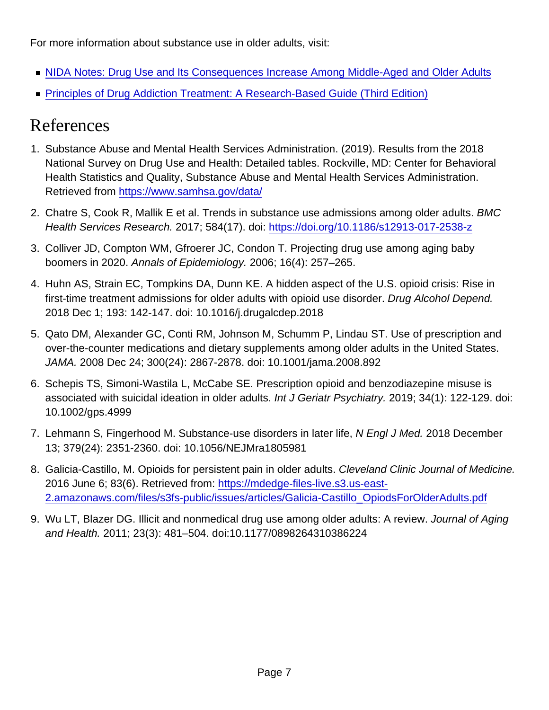For more information about substance use in older adults, visit:

- [NIDA Notes: Drug Use and Its Consequences Increase Among Middle-Aged and Older Adults](http://nida.nih.gov/node/23047/)
- [Principles of Drug Addiction Treatment: A Research-Based Guide \(Third Edition\)](http://nida.nih.gov/node/2247/)

## References

- 1. Substance Abuse and Mental Health Services Administration. (2019). Results from the 2018 National Survey on Drug Use and Health: Detailed tables. Rockville, MD: Center for Behavioral Health Statistics and Quality, Substance Abuse and Mental Health Services Administration. Retrieved from <https://www.samhsa.gov/data/>
- 2. Chatre S, Cook R, Mallik E et al. Trends in substance use admissions among older adults. BMC Health Services Research. 2017; 584(17). doi: <https://doi.org/10.1186/s12913-017-2538-z>
- 3. Colliver JD, Compton WM, Gfroerer JC, Condon T. Projecting drug use among aging baby boomers in 2020. Annals of Epidemiology. 2006; 16(4): 257–265.
- 4. Huhn AS, Strain EC, Tompkins DA, Dunn KE. A hidden aspect of the U.S. opioid crisis: Rise in first-time treatment admissions for older adults with opioid use disorder. Drug Alcohol Depend. 2018 Dec 1; 193: 142-147. doi: 10.1016/j.drugalcdep.2018
- 5. Qato DM, Alexander GC, Conti RM, Johnson M, Schumm P, Lindau ST. Use of prescription and over-the-counter medications and dietary supplements among older adults in the United States. JAMA. 2008 Dec 24; 300(24): 2867-2878. doi: 10.1001/jama.2008.892
- 6. Schepis TS, Simoni-Wastila L, McCabe SE. Prescription opioid and benzodiazepine misuse is associated with suicidal ideation in older adults. Int J Geriatr Psychiatry. 2019; 34(1): 122-129. doi: 10.1002/gps.4999
- 7. Lehmann S, Fingerhood M. Substance-use disorders in later life, N Engl J Med. 2018 December 13; 379(24): 2351-2360. doi: 10.1056/NEJMra1805981
- 8. Galicia-Castillo, M. Opioids for persistent pain in older adults. Cleveland Clinic Journal of Medicine. 2016 June 6; 83(6). Retrieved from: [https://mdedge-files-live.s3.us-east-](https://mdedge-files-live.s3.us-east-2.amazonaws.com/files/s3fs-public/issues/articles/Galicia-Castillo_OpiodsForOlderAdults.pdf )[2.amazonaws.com/files/s3fs-public/issues/articles/Galicia-Castillo\\_OpiodsForOlderAdults.pdf](https://mdedge-files-live.s3.us-east-2.amazonaws.com/files/s3fs-public/issues/articles/Galicia-Castillo_OpiodsForOlderAdults.pdf )
- 9. Wu LT, Blazer DG. Illicit and nonmedical drug use among older adults: A review. Journal of Aging and Health. 2011; 23(3): 481–504. doi:10.1177/0898264310386224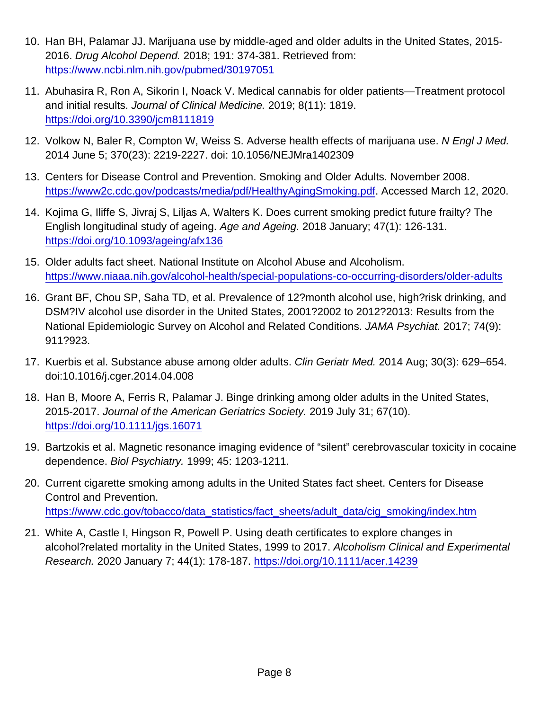- 10. Han BH, Palamar JJ. Marijuana use by middle-aged and older adults in the United States, 2015- 2016. Drug Alcohol Depend. 2018; 191: 374-381. Retrieved from: <https://www.ncbi.nlm.nih.gov/pubmed/30197051>
- 11. Abuhasira R, Ron A, Sikorin I, Noack V. Medical cannabis for older patients—Treatment protocol and initial results. Journal of Clinical Medicine. 2019; 8(11): 1819. <https://doi.org/10.3390/jcm8111819>
- 12. Volkow N, Baler R, Compton W, Weiss S. Adverse health effects of marijuana use. N Engl J Med. 2014 June 5; 370(23): 2219-2227. doi: 10.1056/NEJMra1402309
- 13. Centers for Disease Control and Prevention. Smoking and Older Adults. November 2008. [https://www2c.cdc.gov/podcasts/media/pdf/HealthyAgingSmoking.pdf.](https://www2c.cdc.gov/podcasts/media/pdf/HealthyAgingSmoking.pdf) Accessed March 12, 2020.
- 14. Kojima G, Iliffe S, Jivraj S, Liljas A, Walters K. Does current smoking predict future frailty? The English longitudinal study of ageing. Age and Ageing. 2018 January; 47(1): 126-131. <https://doi.org/10.1093/ageing/afx136>
- 15. Older adults fact sheet. National Institute on Alcohol Abuse and Alcoholism. <https://www.niaaa.nih.gov/alcohol-health/special-populations-co-occurring-disorders/older-adults>
- 16. Grant BF, Chou SP, Saha TD, et al. Prevalence of 12?month alcohol use, high?risk drinking, and DSM?IV alcohol use disorder in the United States, 2001?2002 to 2012?2013: Results from the National Epidemiologic Survey on Alcohol and Related Conditions. JAMA Psychiat. 2017; 74(9): 911?923.
- 17. Kuerbis et al. Substance abuse among older adults. Clin Geriatr Med. 2014 Aug; 30(3): 629–654. doi:10.1016/j.cger.2014.04.008
- 18. Han B, Moore A, Ferris R, Palamar J. Binge drinking among older adults in the United States, 2015-2017. Journal of the American Geriatrics Society. 2019 July 31; 67(10). <https://doi.org/10.1111/jgs.16071>
- 19. Bartzokis et al. Magnetic resonance imaging evidence of "silent" cerebrovascular toxicity in cocaine dependence. Biol Psychiatry. 1999; 45: 1203-1211.
- 20. Current cigarette smoking among adults in the United States fact sheet. Centers for Disease Control and Prevention. [https://www.cdc.gov/tobacco/data\\_statistics/fact\\_sheets/adult\\_data/cig\\_smoking/index.htm](https://www.cdc.gov/tobacco/data_statistics/fact_sheets/adult_data/cig_smoking/index.htm)
- 21. White A, Castle I, Hingson R, Powell P. Using death certificates to explore changes in alcohol?related mortality in the United States, 1999 to 2017. Alcoholism Clinical and Experimental Research. 2020 January 7; 44(1): 178-187.<https://doi.org/10.1111/acer.14239>